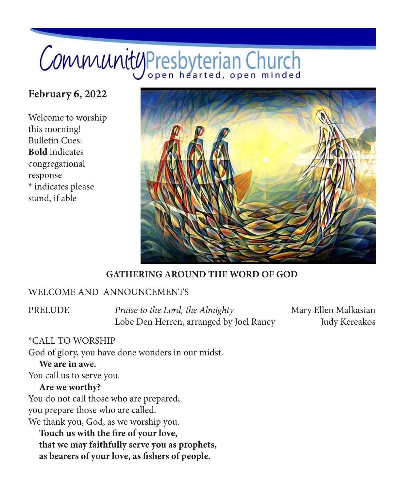# CommunityPresbyterian Church

## **February 6, 2022**

Welcome to worship this morning! Bulletin Cues: **Bold** indicates congregational response \* indicates please stand, if able



#### **GATHERING AROUND THE WORD OF GOD**

#### WELCOME AND ANNOUNCEMENTS

PRELUDE *Praise to the Lord, the Almighty* Mary Ellen Malkasian Lobe Den Herren, arranged by Joel Raney Judy Kereakos

### \*CALL TO WORSHIP

God of glory, you have done wonders in our midst.

#### **We are in awe.**

You call us to serve you.

#### **Are we worthy?**

You do not call those who are prepared; you prepare those who are called.

We thank you, God, as we worship you.

**Touch us with the fire of your love, that we may faithfully serve you as prophets, as bearers of your love, as fishers of people.**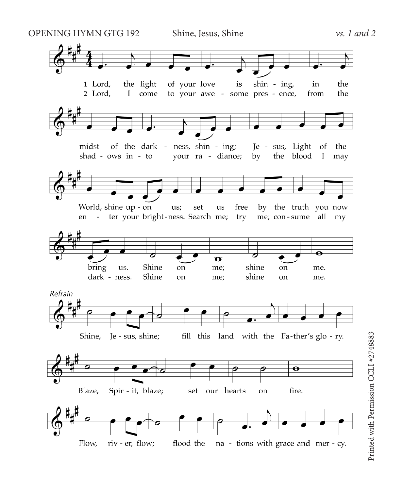OPENING HYMN GTG 192 Shine, Jesus, Shine *vs. 1 and 2*



Printed with Permission CCLI #2748883 Printed with Permission CCLI #2748883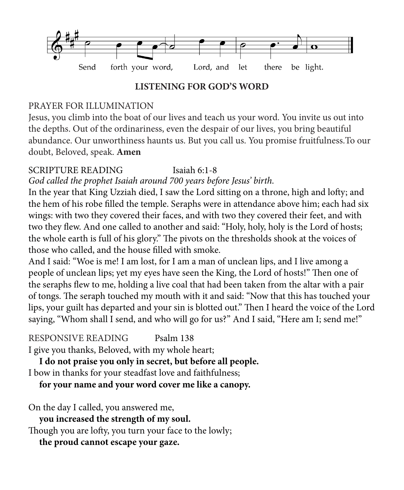

#### **LISTENING FOR GOD'S WORD**

#### PRAYER FOR ILLUMINATION

Jesus, you climb into the boat of our lives and teach us your word. You invite us out into the depths. Out of the ordinariness, even the despair of our lives, you bring beautiful abundance. Our unworthiness haunts us. But you call us. You promise fruitfulness.To our doubt, Beloved, speak. **Amen**

### SCRIPTURE READING Isaiah 6:1-8

*God called the prophet Isaiah around 700 years before Jesus' birth.*

In the year that King Uzziah died, I saw the Lord sitting on a throne, high and lofty; and the hem of his robe filled the temple. Seraphs were in attendance above him; each had six wings: with two they covered their faces, and with two they covered their feet, and with two they flew. And one called to another and said: "Holy, holy, holy is the Lord of hosts; the whole earth is full of his glory." The pivots on the thresholds shook at the voices of those who called, and the house filled with smoke.

And I said: "Woe is me! I am lost, for I am a man of unclean lips, and I live among a people of unclean lips; yet my eyes have seen the King, the Lord of hosts!" Then one of the seraphs flew to me, holding a live coal that had been taken from the altar with a pair of tongs. The seraph touched my mouth with it and said: "Now that this has touched your lips, your guilt has departed and your sin is blotted out." Then I heard the voice of the Lord saying, "Whom shall I send, and who will go for us?" And I said, "Here am I; send me!"

#### RESPONSIVE READING Psalm 138

I give you thanks, Beloved, with my whole heart;

**I do not praise you only in secret, but before all people.** I bow in thanks for your steadfast love and faithfulness;

**for your name and your word cover me like a canopy.**

On the day I called, you answered me,

**you increased the strength of my soul.**

Though you are lofty, you turn your face to the lowly;

**the proud cannot escape your gaze.**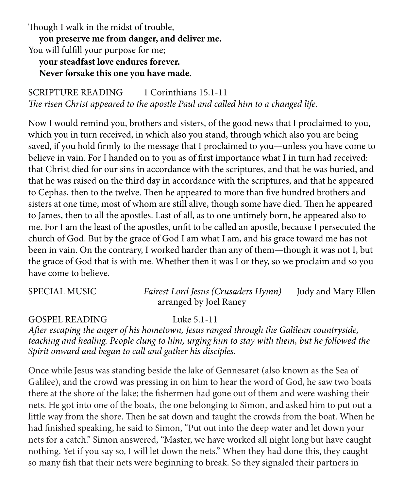Though I walk in the midst of trouble,

**you preserve me from danger, and deliver me.**

You will fulfill your purpose for me;

**your steadfast love endures forever.** 

**Never forsake this one you have made.**

SCRIPTURE READING 1 Corinthians 15.1-11 *The risen Christ appeared to the apostle Paul and called him to a changed life.*

Now I would remind you, brothers and sisters, of the good news that I proclaimed to you, which you in turn received, in which also you stand, through which also you are being saved, if you hold firmly to the message that I proclaimed to you—unless you have come to believe in vain. For I handed on to you as of first importance what I in turn had received: that Christ died for our sins in accordance with the scriptures, and that he was buried, and that he was raised on the third day in accordance with the scriptures, and that he appeared to Cephas, then to the twelve. Then he appeared to more than five hundred brothers and sisters at one time, most of whom are still alive, though some have died. Then he appeared to James, then to all the apostles. Last of all, as to one untimely born, he appeared also to me. For I am the least of the apostles, unfit to be called an apostle, because I persecuted the church of God. But by the grace of God I am what I am, and his grace toward me has not been in vain. On the contrary, I worked harder than any of them—though it was not I, but the grace of God that is with me. Whether then it was I or they, so we proclaim and so you have come to believe.

| <b>SPECIAL MUSIC</b> | Fairest Lord Jesus (Crusaders Hymn) | Judy and Mary Ellen |
|----------------------|-------------------------------------|---------------------|
|                      | arranged by Joel Raney              |                     |

GOSPEL READING Luke 5.1-11

*After escaping the anger of his hometown, Jesus ranged through the Galilean countryside, teaching and healing. People clung to him, urging him to stay with them, but he followed the Spirit onward and began to call and gather his disciples.*

Once while Jesus was standing beside the lake of Gennesaret (also known as the Sea of Galilee), and the crowd was pressing in on him to hear the word of God, he saw two boats there at the shore of the lake; the fishermen had gone out of them and were washing their nets. He got into one of the boats, the one belonging to Simon, and asked him to put out a little way from the shore. Then he sat down and taught the crowds from the boat. When he had finished speaking, he said to Simon, "Put out into the deep water and let down your nets for a catch." Simon answered, "Master, we have worked all night long but have caught nothing. Yet if you say so, I will let down the nets." When they had done this, they caught so many fish that their nets were beginning to break. So they signaled their partners in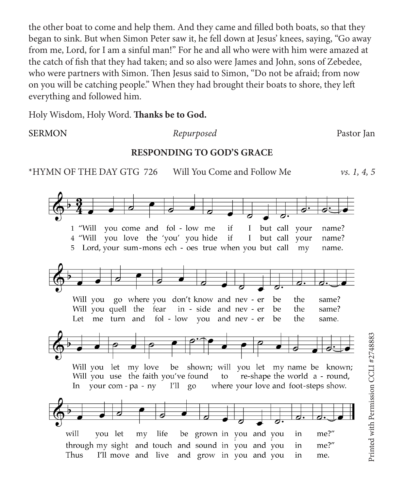the other boat to come and help them. And they came and filled both boats, so that they began to sink. But when Simon Peter saw it, he fell down at Jesus' knees, saying, "Go away from me, Lord, for I am a sinful man!" For he and all who were with him were amazed at the catch of fish that they had taken; and so also were James and John, sons of Zebedee, who were partners with Simon. Then Jesus said to Simon, "Do not be afraid; from now on you will be catching people." When they had brought their boats to shore, they left everything and followed him.

Holy Wisdom, Holy Word. **Thanks be to God.**

#### SERMON *Repurposed* Pastor Jan

#### **RESPONDING TO GOD'S GRACE**

\*HYMN OF THE DAY GTG 726 Will You Come and Follow Me *vs. 1, 4, 5*

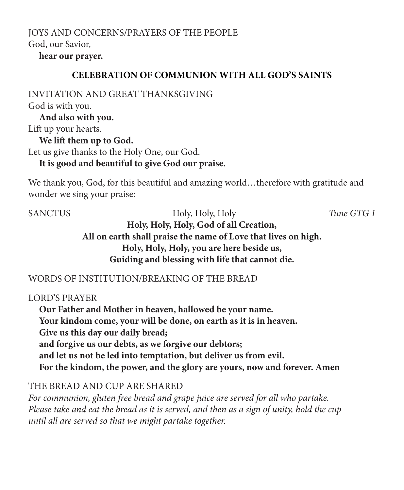# JOYS AND CONCERNS/PRAYERS OF THE PEOPLE God, our Savior,

**hear our prayer.**

#### **CELEBRATION OF COMMUNION WITH ALL GOD'S SAINTS**

INVITATION AND GREAT THANKSGIVING God is with you. **And also with you.** Lift up your hearts. **We lift them up to God.** Let us give thanks to the Holy One, our God. **It is good and beautiful to give God our praise.**

We thank you, God, for this beautiful and amazing world…therefore with gratitude and wonder we sing your praise:

SANCTUSHoly, Holy, Holy *Tune GTG 1*

**Holy, Holy, Holy, God of all Creation, All on earth shall praise the name of Love that lives on high. Holy, Holy, Holy, you are here beside us, Guiding and blessing with life that cannot die.**

#### WORDS OF INSTITUTION/BREAKING OF THE BREAD

LORD'S PRAYER

**Our Father and Mother in heaven, hallowed be your name. Your kindom come, your will be done, on earth as it is in heaven. Give us this day our daily bread; and forgive us our debts, as we forgive our debtors; and let us not be led into temptation, but deliver us from evil. For the kindom, the power, and the glory are yours, now and forever. Amen**

#### THE BREAD AND CUP ARE SHARED

*For communion, gluten free bread and grape juice are served for all who partake. Please take and eat the bread as it is served, and then as a sign of unity, hold the cup until all are served so that we might partake together.*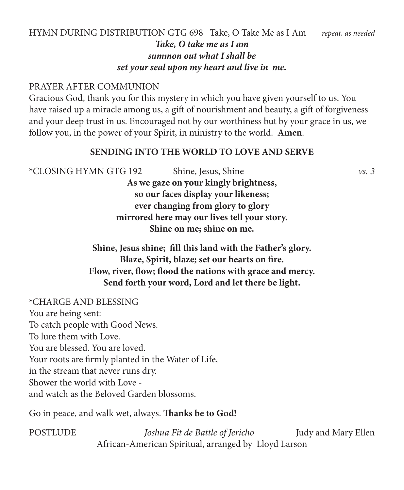#### HYMN DURING DISTRIBUTION GTG 698 Take, O Take Me as I Am *repeat, as needed Take, O take me as I am summon out what I shall be set your seal upon my heart and live in me.*

#### PRAYER AFTER COMMUNION

Gracious God, thank you for this mystery in which you have given yourself to us. You have raised up a miracle among us, a gift of nourishment and beauty, a gift of forgiveness and your deep trust in us. Encouraged not by our worthiness but by your grace in us, we follow you, in the power of your Spirit, in ministry to the world. **Amen**.

#### **SENDING INTO THE WORLD TO LOVE AND SERVE**

\*CLOSING HYMN GTG 192 Shine, Jesus, Shine *vs. 3*

**As we gaze on your kingly brightness, so our faces display your likeness; ever changing from glory to glory mirrored here may our lives tell your story. Shine on me; shine on me.**

**Shine, Jesus shine; fill this land with the Father's glory. Blaze, Spirit, blaze; set our hearts on fire. Flow, river, flow; flood the nations with grace and mercy. Send forth your word, Lord and let there be light.**

#### \*CHARGE AND BLESSING

You are being sent: To catch people with Good News. To lure them with Love. You are blessed. You are loved. Your roots are firmly planted in the Water of Life, in the stream that never runs dry. Shower the world with Love and watch as the Beloved Garden blossoms.

Go in peace, and walk wet, always. **Thanks be to God!**

POSTLUDE *Joshua Fit de Battle of Jericho* Judy and Mary Ellen African-American Spiritual, arranged by Lloyd Larson